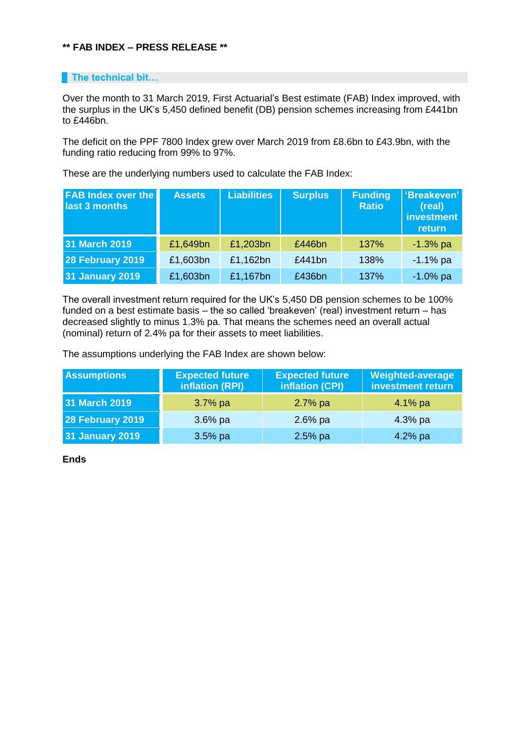## **\*\* FAB INDEX – PRESS RELEASE \*\***

## **The technical bit...**

Over the month to 31 March 2019, First Actuarial's Best estimate (FAB) Index improved, with the surplus in the UK's 5,450 defined benefit (DB) pension schemes increasing from £441bn to £446bn.

The deficit on the PPF 7800 Index grew over March 2019 from £8.6bn to £43.9bn, with the funding ratio reducing from 99% to 97%.

These are the underlying numbers used to calculate the FAB Index:

| <b>FAB Index over the</b><br>last 3 months | <b>Assets</b> | <b>Liabilities</b> | <b>Surplus</b> | <b>Funding</b><br><b>Ratio</b> | 'Breakeven'<br>(real)<br>investment<br>return |
|--------------------------------------------|---------------|--------------------|----------------|--------------------------------|-----------------------------------------------|
| 31 March 2019                              | £1,649bn      | £1,203bn           | £446bn         | 137%                           | $-1.3%$ pa                                    |
| 28 February 2019                           | £1,603bn      | £1,162bn           | £441bn         | 138%                           | $-1.1\%$ pa                                   |
| <b>31 January 2019</b>                     | £1,603bn      | £1,167bn           | £436bn         | 137%                           | $-1.0\%$ pa                                   |

The overall investment return required for the UK's 5,450 DB pension schemes to be 100% funded on a best estimate basis – the so called 'breakeven' (real) investment return – has decreased slightly to minus 1.3% pa. That means the schemes need an overall actual (nominal) return of 2.4% pa for their assets to meet liabilities.

The assumptions underlying the FAB Index are shown below:

| <b>Assumptions</b>     | <b>Expected future</b><br>inflation (RPI) | <b>Expected future</b><br>inflation (CPI) | <b>Weighted-average</b><br>investment return |
|------------------------|-------------------------------------------|-------------------------------------------|----------------------------------------------|
| 31 March 2019          | $3.7\%$ pa                                | $2.7%$ pa                                 | $4.1\%$ pa                                   |
| 28 February 2019       | $3.6\%$ pa                                | $2.6%$ pa                                 | $4.3%$ pa                                    |
| <b>31 January 2019</b> | $3.5%$ pa                                 | $2.5%$ pa                                 | 4.2% pa                                      |

**Ends**